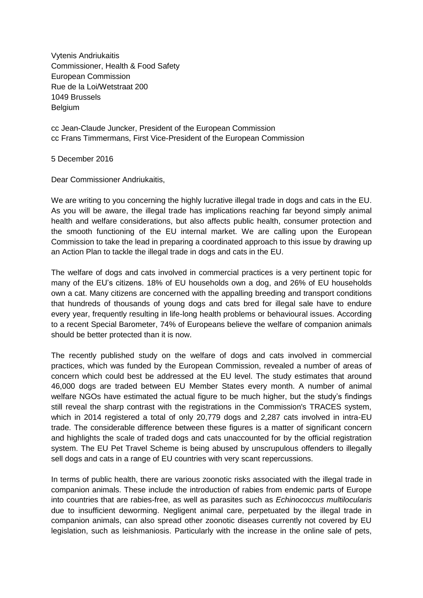Vytenis Andriukaitis Commissioner, Health & Food Safety European Commission Rue de la Loi/Wetstraat 200 1049 Brussels **Belgium** 

cc Jean-Claude Juncker, President of the European Commission cc Frans Timmermans, First Vice-President of the European Commission

5 December 2016

Dear Commissioner Andriukaitis,

We are writing to you concerning the highly lucrative illegal trade in dogs and cats in the EU. As you will be aware, the illegal trade has implications reaching far beyond simply animal health and welfare considerations, but also affects public health, consumer protection and the smooth functioning of the EU internal market. We are calling upon the European Commission to take the lead in preparing a coordinated approach to this issue by drawing up an Action Plan to tackle the illegal trade in dogs and cats in the EU.

The welfare of dogs and cats involved in commercial practices is a very pertinent topic for many of the EU's citizens. 18% of EU households own a dog, and 26% of EU households own a cat. Many citizens are concerned with the appalling breeding and transport conditions that hundreds of thousands of young dogs and cats bred for illegal sale have to endure every year, frequently resulting in life-long health problems or behavioural issues. According to a recent Special Barometer, 74% of Europeans believe the welfare of companion animals should be better protected than it is now.

The recently published study on the welfare of dogs and cats involved in commercial practices, which was funded by the European Commission, revealed a number of areas of concern which could best be addressed at the EU level. The study estimates that around 46,000 dogs are traded between EU Member States every month. A number of animal welfare NGOs have estimated the actual figure to be much higher, but the study's findings still reveal the sharp contrast with the registrations in the Commission's TRACES system, which in 2014 registered a total of only 20,779 dogs and 2,287 cats involved in intra-EU trade. The considerable difference between these figures is a matter of significant concern and highlights the scale of traded dogs and cats unaccounted for by the official registration system. The EU Pet Travel Scheme is being abused by unscrupulous offenders to illegally sell dogs and cats in a range of EU countries with very scant repercussions.

In terms of public health, there are various zoonotic risks associated with the illegal trade in companion animals. These include the introduction of rabies from endemic parts of Europe into countries that are rabies-free, as well as parasites such as *Echinococcus multilocularis* due to insufficient deworming. Negligent animal care, perpetuated by the illegal trade in companion animals, can also spread other zoonotic diseases currently not covered by EU legislation, such as leishmaniosis. Particularly with the increase in the online sale of pets,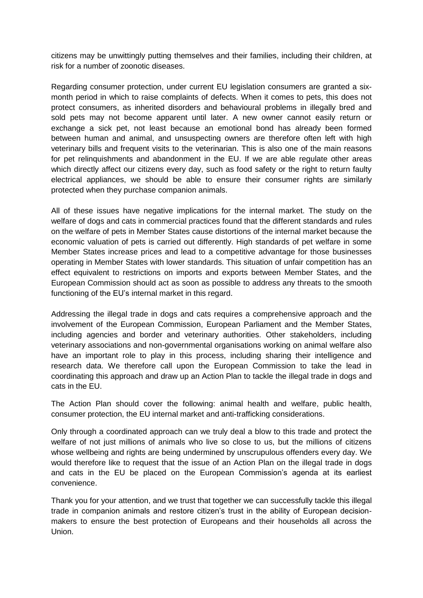citizens may be unwittingly putting themselves and their families, including their children, at risk for a number of zoonotic diseases.

Regarding consumer protection, under current EU legislation consumers are granted a sixmonth period in which to raise complaints of defects. When it comes to pets, this does not protect consumers, as inherited disorders and behavioural problems in illegally bred and sold pets may not become apparent until later. A new owner cannot easily return or exchange a sick pet, not least because an emotional bond has already been formed between human and animal, and unsuspecting owners are therefore often left with high veterinary bills and frequent visits to the veterinarian. This is also one of the main reasons for pet relinquishments and abandonment in the EU. If we are able regulate other areas which directly affect our citizens every day, such as food safety or the right to return faulty electrical appliances, we should be able to ensure their consumer rights are similarly protected when they purchase companion animals.

All of these issues have negative implications for the internal market. The study on the welfare of dogs and cats in commercial practices found that the different standards and rules on the welfare of pets in Member States cause distortions of the internal market because the economic valuation of pets is carried out differently. High standards of pet welfare in some Member States increase prices and lead to a competitive advantage for those businesses operating in Member States with lower standards. This situation of unfair competition has an effect equivalent to restrictions on imports and exports between Member States, and the European Commission should act as soon as possible to address any threats to the smooth functioning of the EU's internal market in this regard.

Addressing the illegal trade in dogs and cats requires a comprehensive approach and the involvement of the European Commission, European Parliament and the Member States, including agencies and border and veterinary authorities. Other stakeholders, including veterinary associations and non-governmental organisations working on animal welfare also have an important role to play in this process, including sharing their intelligence and research data. We therefore call upon the European Commission to take the lead in coordinating this approach and draw up an Action Plan to tackle the illegal trade in dogs and cats in the EU.

The Action Plan should cover the following: animal health and welfare, public health, consumer protection, the EU internal market and anti-trafficking considerations.

Only through a coordinated approach can we truly deal a blow to this trade and protect the welfare of not just millions of animals who live so close to us, but the millions of citizens whose wellbeing and rights are being undermined by unscrupulous offenders every day. We would therefore like to request that the issue of an Action Plan on the illegal trade in dogs and cats in the EU be placed on the European Commission's agenda at its earliest convenience.

Thank you for your attention, and we trust that together we can successfully tackle this illegal trade in companion animals and restore citizen's trust in the ability of European decisionmakers to ensure the best protection of Europeans and their households all across the Union.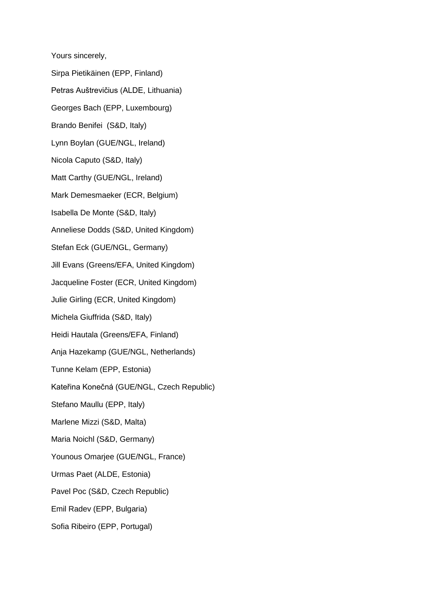Yours sincerely,

Sirpa Pietikäinen (EPP, Finland) Petras Auštrevičius (ALDE, Lithuania) Georges Bach (EPP, Luxembourg) Brando Benifei (S&D, Italy) Lynn Boylan (GUE/NGL, Ireland) Nicola Caputo (S&D, Italy) Matt Carthy (GUE/NGL, Ireland) Mark Demesmaeker (ECR, Belgium) Isabella De Monte (S&D, Italy) Anneliese Dodds (S&D, United Kingdom) Stefan Eck (GUE/NGL, Germany) Jill Evans (Greens/EFA, United Kingdom) Jacqueline Foster (ECR, United Kingdom) Julie Girling (ECR, United Kingdom) Michela Giuffrida (S&D, Italy) Heidi Hautala (Greens/EFA, Finland) Anja Hazekamp (GUE/NGL, Netherlands) Tunne Kelam (EPP, Estonia) Kateřina Konečná (GUE/NGL, Czech Republic) Stefano Maullu (EPP, Italy) Marlene Mizzi (S&D, Malta) Maria Noichl (S&D, Germany) Younous Omarjee (GUE/NGL, France) Urmas Paet (ALDE, Estonia) Pavel Poc (S&D, Czech Republic) Emil Radev (EPP, Bulgaria) Sofia Ribeiro (EPP, Portugal)